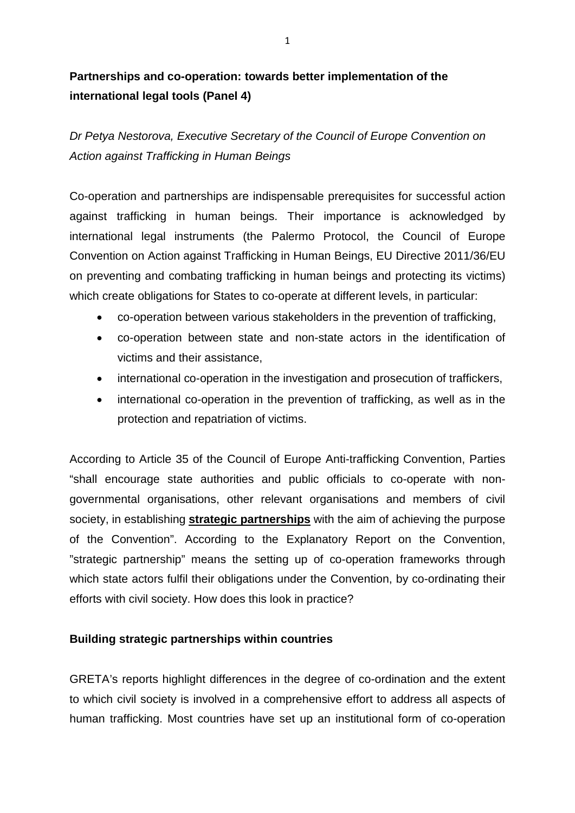## **Partnerships and co-operation: towards better implementation of the international legal tools (Panel 4)**

*Dr Petya Nestorova, Executive Secretary of the Council of Europe Convention on Action against Trafficking in Human Beings*

Co-operation and partnerships are indispensable prerequisites for successful action against trafficking in human beings. Their importance is acknowledged by international legal instruments (the Palermo Protocol, the Council of Europe Convention on Action against Trafficking in Human Beings, EU Directive 2011/36/EU on preventing and combating trafficking in human beings and protecting its victims) which create obligations for States to co-operate at different levels, in particular:

- co-operation between various stakeholders in the prevention of trafficking,
- co-operation between state and non-state actors in the identification of victims and their assistance,
- international co-operation in the investigation and prosecution of traffickers,
- international co-operation in the prevention of trafficking, as well as in the protection and repatriation of victims.

According to Article 35 of the Council of Europe Anti-trafficking Convention, Parties "shall encourage state authorities and public officials to co-operate with nongovernmental organisations, other relevant organisations and members of civil society, in establishing **strategic partnerships** with the aim of achieving the purpose of the Convention". According to the Explanatory Report on the Convention, "strategic partnership" means the setting up of co-operation frameworks through which state actors fulfil their obligations under the Convention, by co-ordinating their efforts with civil society. How does this look in practice?

## **Building strategic partnerships within countries**

GRETA's reports highlight differences in the degree of co-ordination and the extent to which civil society is involved in a comprehensive effort to address all aspects of human trafficking. Most countries have set up an institutional form of co-operation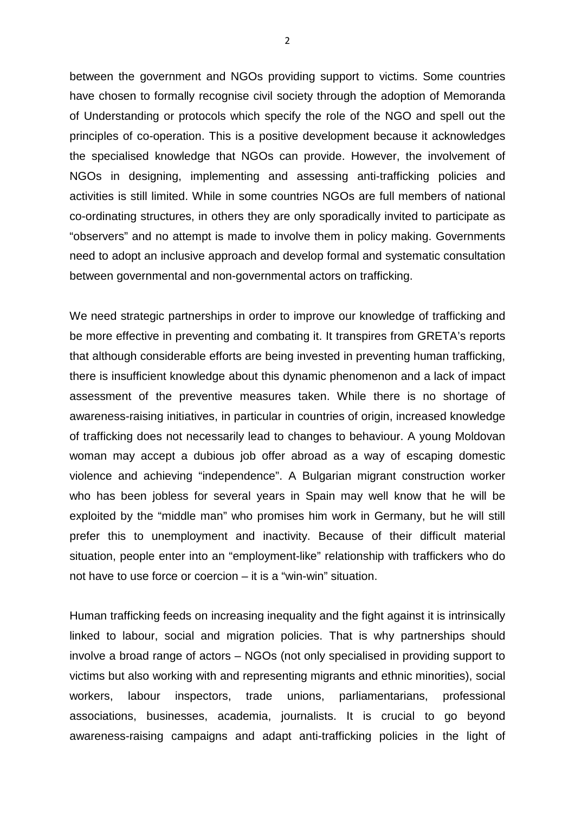between the government and NGOs providing support to victims. Some countries have chosen to formally recognise civil society through the adoption of Memoranda of Understanding or protocols which specify the role of the NGO and spell out the principles of co-operation. This is a positive development because it acknowledges the specialised knowledge that NGOs can provide. However, the involvement of NGOs in designing, implementing and assessing anti-trafficking policies and activities is still limited. While in some countries NGOs are full members of national co-ordinating structures, in others they are only sporadically invited to participate as "observers" and no attempt is made to involve them in policy making. Governments need to adopt an inclusive approach and develop formal and systematic consultation between governmental and non-governmental actors on trafficking.

We need strategic partnerships in order to improve our knowledge of trafficking and be more effective in preventing and combating it. It transpires from GRETA's reports that although considerable efforts are being invested in preventing human trafficking, there is insufficient knowledge about this dynamic phenomenon and a lack of impact assessment of the preventive measures taken. While there is no shortage of awareness-raising initiatives, in particular in countries of origin, increased knowledge of trafficking does not necessarily lead to changes to behaviour. A young Moldovan woman may accept a dubious job offer abroad as a way of escaping domestic violence and achieving "independence". A Bulgarian migrant construction worker who has been jobless for several years in Spain may well know that he will be exploited by the "middle man" who promises him work in Germany, but he will still prefer this to unemployment and inactivity. Because of their difficult material situation, people enter into an "employment-like" relationship with traffickers who do not have to use force or coercion – it is a "win-win" situation.

Human trafficking feeds on increasing inequality and the fight against it is intrinsically linked to labour, social and migration policies. That is why partnerships should involve a broad range of actors – NGOs (not only specialised in providing support to victims but also working with and representing migrants and ethnic minorities), social workers, labour inspectors, trade unions, parliamentarians, professional associations, businesses, academia, journalists. It is crucial to go beyond awareness-raising campaigns and adapt anti-trafficking policies in the light of

2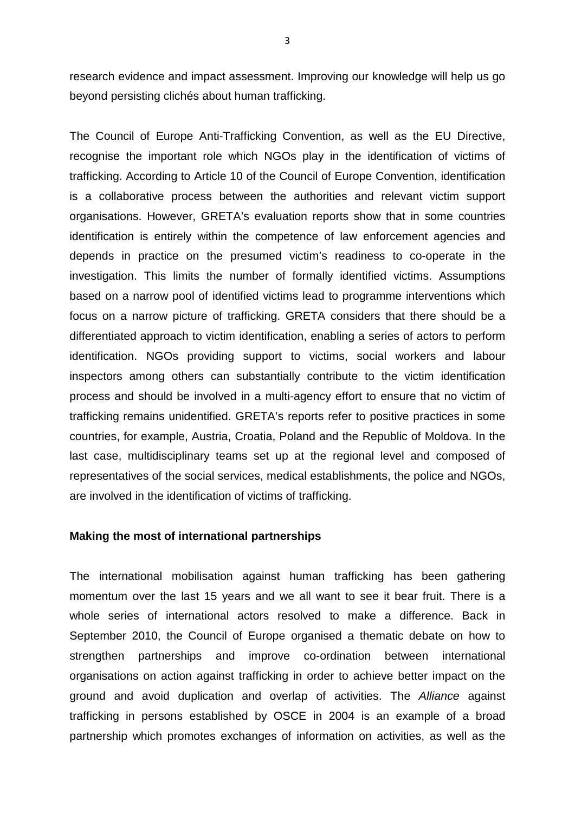research evidence and impact assessment. Improving our knowledge will help us go beyond persisting clichés about human trafficking.

The Council of Europe Anti-Trafficking Convention, as well as the EU Directive, recognise the important role which NGOs play in the identification of victims of trafficking. According to Article 10 of the Council of Europe Convention, identification is a collaborative process between the authorities and relevant victim support organisations. However, GRETA's evaluation reports show that in some countries identification is entirely within the competence of law enforcement agencies and depends in practice on the presumed victim's readiness to co-operate in the investigation. This limits the number of formally identified victims. Assumptions based on a narrow pool of identified victims lead to programme interventions which focus on a narrow picture of trafficking. GRETA considers that there should be a differentiated approach to victim identification, enabling a series of actors to perform identification. NGOs providing support to victims, social workers and labour inspectors among others can substantially contribute to the victim identification process and should be involved in a multi-agency effort to ensure that no victim of trafficking remains unidentified. GRETA's reports refer to positive practices in some countries, for example, Austria, Croatia, Poland and the Republic of Moldova. In the last case, multidisciplinary teams set up at the regional level and composed of representatives of the social services, medical establishments, the police and NGOs, are involved in the identification of victims of trafficking.

## **Making the most of international partnerships**

The international mobilisation against human trafficking has been gathering momentum over the last 15 years and we all want to see it bear fruit. There is a whole series of international actors resolved to make a difference. Back in September 2010, the Council of Europe organised a thematic debate on how to strengthen partnerships and improve co-ordination between international organisations on action against trafficking in order to achieve better impact on the ground and avoid duplication and overlap of activities. The *Alliance* against trafficking in persons established by OSCE in 2004 is an example of a broad partnership which promotes exchanges of information on activities, as well as the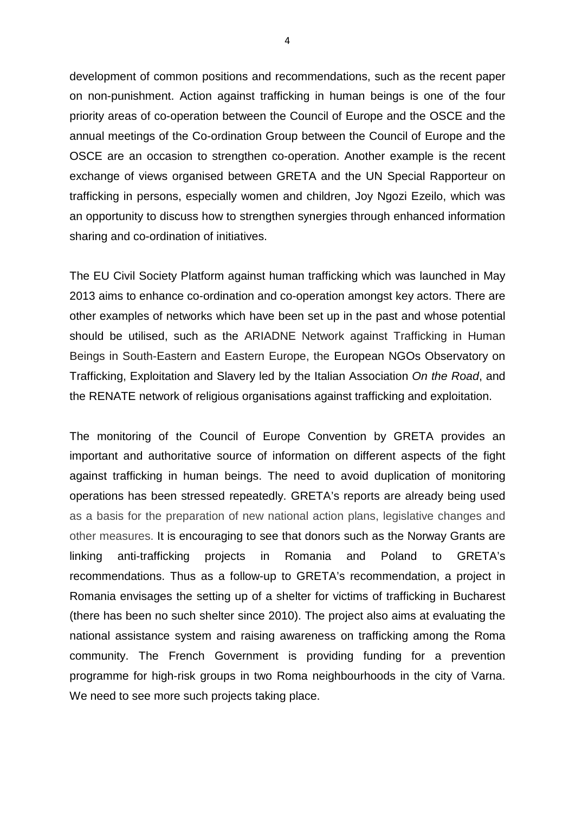development of common positions and recommendations, such as the recent paper on non-punishment. Action against trafficking in human beings is one of the four priority areas of co-operation between the Council of Europe and the OSCE and the annual meetings of the Co-ordination Group between the Council of Europe and the OSCE are an occasion to strengthen co-operation. Another example is the recent exchange of views organised between GRETA and the UN Special Rapporteur on trafficking in persons, especially women and children, Joy Ngozi Ezeilo, which was an opportunity to discuss how to strengthen synergies through enhanced information sharing and co-ordination of initiatives.

The EU Civil Society Platform against human trafficking which was launched in May 2013 aims to enhance co-ordination and co-operation amongst key actors. There are other examples of networks which have been set up in the past and whose potential should be utilised, such as the ARIADNE Network against Trafficking in Human Beings in South-Eastern and Eastern Europe, the European NGOs Observatory on Trafficking, Exploitation and Slavery led by the Italian Association *On the Road*, and the RENATE network of religious organisations against trafficking and exploitation.

The monitoring of the Council of Europe Convention by GRETA provides an important and authoritative source of information on different aspects of the fight against trafficking in human beings. The need to avoid duplication of monitoring operations has been stressed repeatedly. GRETA's reports are already being used as a basis for the preparation of new national action plans, legislative changes and other measures. It is encouraging to see that donors such as the Norway Grants are linking anti-trafficking projects in Romania and Poland to GRETA's recommendations. Thus as a follow-up to GRETA's recommendation, a project in Romania envisages the setting up of a shelter for victims of trafficking in Bucharest (there has been no such shelter since 2010). The project also aims at evaluating the national assistance system and raising awareness on trafficking among the Roma community. The French Government is providing funding for a prevention programme for high-risk groups in two Roma neighbourhoods in the city of Varna. We need to see more such projects taking place.